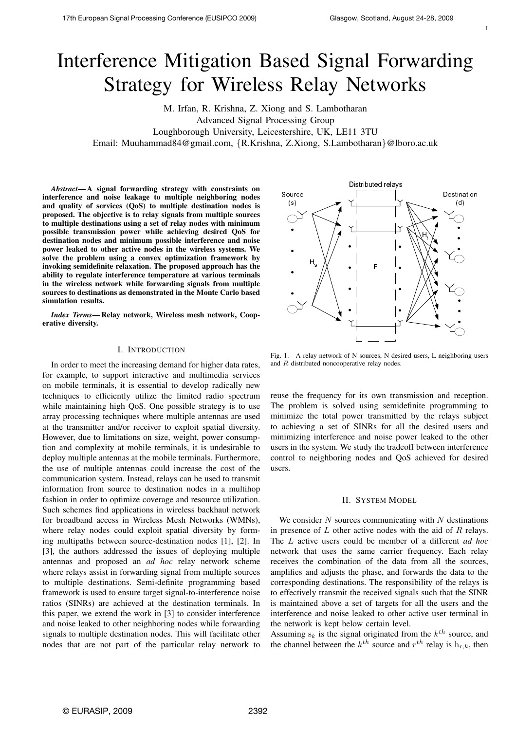1

# Interference Mitigation Based Signal Forwarding Strategy for Wireless Relay Networks

M. Irfan, R. Krishna, Z. Xiong and S. Lambotharan Advanced Signal Processing Group Loughborough University, Leicestershire, UK, LE11 3TU

Email: Muuhammad84@gmail.com, {R.Krishna, Z.Xiong, S.Lambotharan}@lboro.ac.uk

*Abstract*— A signal forwarding strategy with constraints on interference and noise leakage to multiple neighboring nodes and quality of services (QoS) to multiple destination nodes is proposed. The objective is to relay signals from multiple sources to multiple destinations using a set of relay nodes with minimum possible transmission power while achieving desired QoS for destination nodes and minimum possible interference and noise power leaked to other active nodes in the wireless systems. We solve the problem using a convex optimization framework by invoking semidefinite relaxation. The proposed approach has the ability to regulate interference temperature at various terminals in the wireless network while forwarding signals from multiple sources to destinations as demonstrated in the Monte Carlo based simulation results.

*Index Terms*— Relay network, Wireless mesh network, Cooperative diversity.

## I. INTRODUCTION

In order to meet the increasing demand for higher data rates, for example, to support interactive and multimedia services on mobile terminals, it is essential to develop radically new techniques to efficiently utilize the limited radio spectrum while maintaining high OoS. One possible strategy is to use array processing techniques where multiple antennas are used at the transmitter and/or receiver to exploit spatial diversity. However, due to limitations on size, weight, power consumption and complexity at mobile terminals, it is undesirable to deploy multiple antennas at the mobile terminals. Furthermore, the use of multiple antennas could increase the cost of the communication system. Instead, relays can be used to transmit information from source to destination nodes in a multihop fashion in order to optimize coverage and resource utilization. Such schemes find applications in wireless backhaul network for broadband access in Wireless Mesh Networks (WMNs), where relay nodes could exploit spatial diversity by forming multipaths between source-destination nodes [1], [2]. In [3], the authors addressed the issues of deploying multiple antennas and proposed an *ad hoc* relay network scheme where relays assist in forwarding signal from multiple sources to multiple destinations. Semi-definite programming based framework is used to ensure target signal-to-interference noise ratios (SINRs) are achieved at the destination terminals. In this paper, we extend the work in [3] to consider interference and noise leaked to other neighboring nodes while forwarding signals to multiple destination nodes. This will facilitate other nodes that are not part of the particular relay network to



Fig. 1. A relay network of N sources, N desired users, L neighboring users and R distributed noncooperative relay nodes.

reuse the frequency for its own transmission and reception. The problem is solved using semidefinite programming to minimize the total power transmitted by the relays subject to achieving a set of SINRs for all the desired users and minimizing interference and noise power leaked to the other users in the system. We study the tradeoff between interference control to neighboring nodes and QoS achieved for desired users.

## II. SYSTEM MODEL

We consider  $N$  sources communicating with  $N$  destinations in presence of  $L$  other active nodes with the aid of  $R$  relays. The L active users could be member of a different *ad hoc* network that uses the same carrier frequency. Each relay receives the combination of the data from all the sources, amplifies and adjusts the phase, and forwards the data to the corresponding destinations. The responsibility of the relays is to effectively transmit the received signals such that the SINR is maintained above a set of targets for all the users and the interference and noise leaked to other active user terminal in the network is kept below certain level.

Assuming  $s_k$  is the signal originated from the  $k^{th}$  source, and the channel between the  $k^{th}$  source and  $r^{th}$  relay is  $h_{r,k}$ , then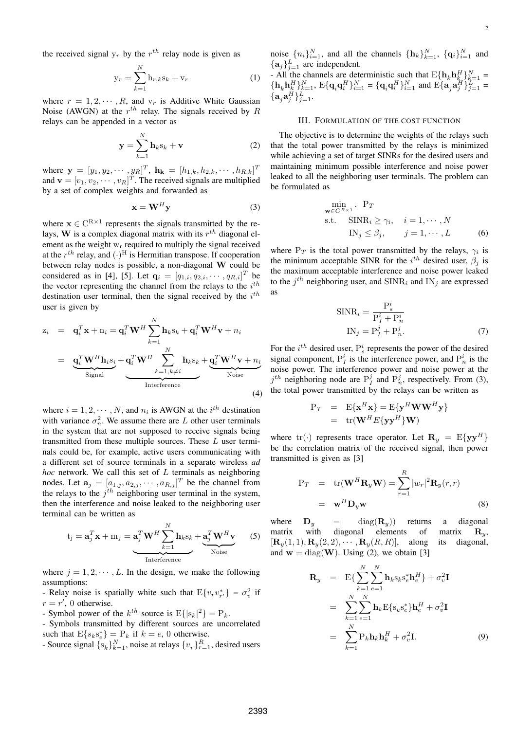$$
y_r = \sum_{k=1}^{N} h_{r,k} s_k + v_r
$$
 (1)

where  $r = 1, 2, \dots, R$ , and  $v_r$  is Additive White Gaussian Noise (AWGN) at the  $r^{th}$  relay. The signals received by R relays can be appended in a vector as

$$
\mathbf{y} = \sum_{k=1}^{N} \mathbf{h}_k \mathbf{s}_k + \mathbf{v}
$$
 (2)

where  $\mathbf{y} = [y_1, y_2, \cdots, y_R]^T$ ,  $\mathbf{h}_{\mathbf{k}} = [h_{1,k}, h_{2,k}, \cdots, h_{R,k}]^T$ and  $\mathbf{v} = [v_1, v_2, \dots, v_R]^T$ . The received signals are multiplied by a set of complex weights and forwarded as

$$
\mathbf{x} = \mathbf{W}^H \mathbf{y} \tag{3}
$$

where  $x \in C^{R \times 1}$  represents the signals transmitted by the relays, W is a complex diagonal matrix with its  $r^{th}$  diagonal element as the weight  $w_r$  required to multiply the signal received at the  $r^{th}$  relay, and  $(\cdot)^{H}$  is Hermitian transpose. If cooperation between relay nodes is possible, a non-diagonal W could be considered as in [4], [5]. Let  $\mathbf{q}_i = [q_{1,i}, q_{2,i}, \cdots, q_{R,i}]^T$  be the vector representing the channel from the relays to the  $i^{th}$ destination user terminal, then the signal received by the  $i^{th}$ user is given by

$$
z_i = q_i^T \mathbf{x} + n_i = \mathbf{q}_i^T \mathbf{W}^H \sum_{k=1}^N \mathbf{h}_k s_k + \mathbf{q}_i^T \mathbf{W}^H \mathbf{v} + n_i
$$
  
\n
$$
= \underbrace{\mathbf{q}_i^T \mathbf{W}^H \mathbf{h}_i s_i}_{\text{Signal}} + \underbrace{\mathbf{q}_i^T \mathbf{W}^H \sum_{k=1, k \neq i}^N \mathbf{h}_k s_k}_{\text{Interference}} + \underbrace{\mathbf{q}_i^T \mathbf{W}^H \mathbf{v} + n_i}_{\text{Noise}} \tag{4}
$$

where  $i = 1, 2, \dots, N$ , and  $n_i$  is AWGN at the  $i^{th}$  destination with variance  $\sigma_n^2$ . We assume there are L other user terminals in the system that are not supposed to receive signals being transmitted from these multiple sources. These L user terminals could be, for example, active users communicating with a different set of source terminals in a separate wireless *ad hoc* network. We call this set of L terminals as neighboring nodes. Let  $\mathbf{a}_j = [a_{1,j}, a_{2,j}, \cdots, a_{R,j}]^T$  be the channel from the relays to the  $j<sup>th</sup>$  neighboring user terminal in the system, then the interference and noise leaked to the neighboring user terminal can be written as

$$
t_{j} = \mathbf{a}_{j}^{T} \mathbf{x} + m_{j} = \underbrace{\mathbf{a}_{j}^{T} \mathbf{W}^{H} \sum_{k=1}^{N} \mathbf{h}_{k} s_{k}}_{\text{Interference}} + \underbrace{\mathbf{a}_{j}^{T} \mathbf{W}^{H} \mathbf{v}}_{\text{Noise}}
$$
(5)

where  $j = 1, 2, \dots, L$ . In the design, we make the following assumptions:

- Relay noise is spatially white such that  $E\{v_r v_{r'}^*\} = \sigma_v^2$  if  $r = r'$ , 0 otherwise.
- Symbol power of the  $k^{th}$  source is  $E\{|s_k|^2\} = P_k$ .

- Symbols transmitted by different sources are uncorrelated such that  $E{s_k s_e^*} = P_k$  if  $k = e$ , 0 otherwise.

- Source signal  $\{s_k\}_{k=1}^N$ , noise at relays  $\{v_r\}_{r=1}^R$ , desired users

noise  $\{n_i\}_{i=1}^N$ , and all the channels  $\{\mathbf h_k\}_{k=1}^N$ ,  $\{\mathbf q_i\}_{i=1}^N$  and  $\{\mathbf a_j\}_{j=1}^L$  are independent.

- All the channels are deterministic such that  $E\{\mathbf{h}_k \mathbf{h}_{k}^H\}_{k=1}^N$  =  $\{\mathbf{h}_k \mathbf{h}_k^H\}_{k=1}^N$ ,  $\mathrm{E}\{\mathbf{q}_i \mathbf{q}_i^H\}_{i=1}^N = \{\mathbf{q}_i \mathbf{q}_i^H\}_{i=1}^N$  and  $\mathrm{E}\{\mathbf{a}_j \mathbf{a}_j^H\}_{j=1}^L =$  $\{ \mathbf a_j \mathbf a_j^H \}_{j=1}^L.$ 

#### III. FORMULATION OF THE COST FUNCTION

The objective is to determine the weights of the relays such that the total power transmitted by the relays is minimized while achieving a set of target SINRs for the desired users and maintaining minimum possible interference and noise power leaked to all the neighboring user terminals. The problem can be formulated as

$$
\min_{\mathbf{w} \in C^{R \times 1}} P_T
$$
\n
$$
\text{s.t.} \quad \text{SINR}_i \ge \gamma_i, \quad i = 1, \cdots, N
$$
\n
$$
\text{IN}_j \le \beta_j, \qquad j = 1, \cdots, L \tag{6}
$$

where  $P_T$  is the total power transmitted by the relays,  $\gamma_i$  is the minimum acceptable SINR for the  $i^{th}$  desired user,  $\beta_j$  is the maximum acceptable interference and noise power leaked to the  $j^{th}$  neighboring user, and  $\text{SINR}_i$  and  $\text{IN}_j$  are expressed as

$$
SINRi = \frac{P_s^i}{P_I^i + P_n^i}
$$

$$
IN_j = P_I^j + P_n^j.
$$
(7)

For the  $i^{th}$  desired user,  $P_s^i$  represents the power of the desired signal component,  $P_I^i$  is the interference power, and  $P_n^i$  is the noise power. The interference power and noise power at the  $j^{th}$  neighboring node are  $P_I^j$  and  $P_n^j$ , respectively. From (3), the total power transmitted by the relays can be written as

$$
P_T = E\{\mathbf{x}^H \mathbf{x}\} = E\{\mathbf{y}^H \mathbf{W} \mathbf{W}^H \mathbf{y}\}
$$
  
= tr( $\mathbf{W}^H E\{\mathbf{y} \mathbf{y}^H\}$  $\mathbf{W}$ )

where tr(.) represents trace operator. Let  $\mathbf{R}_y = \mathrm{E}\{\mathbf{y}\mathbf{y}^H\}$ be the correlation matrix of the received signal, then power transmitted is given as [3]

$$
P_T = tr(\mathbf{W}^H \mathbf{R}_y \mathbf{W}) = \sum_{r=1}^R |w_r|^2 \mathbf{R}_y(r,r)
$$
  
=  $\mathbf{w}^H \mathbf{D}_y \mathbf{w}$  (8)

where  $\mathbf{D}_y$  = diag( $\mathbf{R}_y$ ) returns a diagonal matrix with diagonal elements of matrix  $\mathbf{R}_y$ ,  $[\mathbf{R}_y(1,1), \mathbf{R}_y(2,2), \cdots, \mathbf{R}_y(R, R)],$  along its diagonal, and  $w = diag(W)$ . Using (2), we obtain [3]

$$
\mathbf{R}_{y} = \mathbf{E}\left\{\sum_{k=1}^{N} \sum_{e=1}^{N} \mathbf{h}_{k} \mathbf{s}_{k} \mathbf{s}_{e}^{*} \mathbf{h}_{e}^{H}\right\} + \sigma_{v}^{2} \mathbf{I}
$$

$$
= \sum_{k=1}^{N} \sum_{e=1}^{N} \mathbf{h}_{k} \mathbf{E}\left\{\mathbf{s}_{k} \mathbf{s}_{e}^{*}\right\} \mathbf{h}_{e}^{H} + \sigma_{v}^{2} \mathbf{I}
$$

$$
= \sum_{k=1}^{N} \mathbf{P}_{k} \mathbf{h}_{k} \mathbf{h}_{k}^{H} + \sigma_{v}^{2} \mathbf{I}. \tag{9}
$$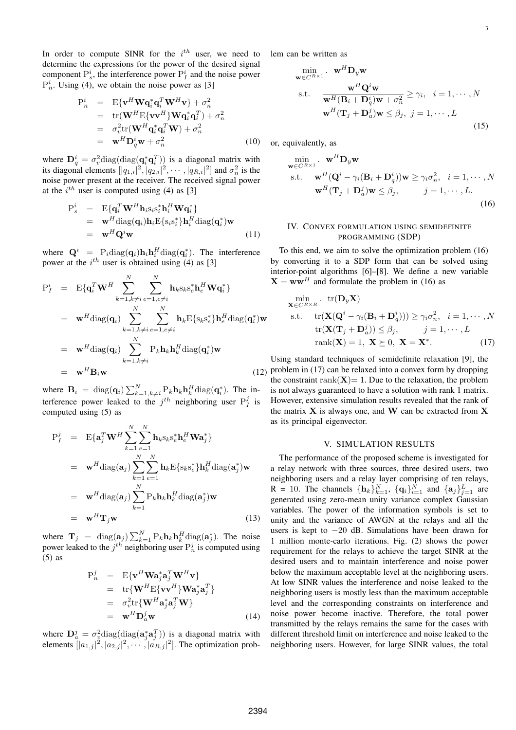In order to compute SINR for the  $i^{th}$  user, we need to determine the expressions for the power of the desired signal component  $P_s^i$ , the interference power  $P_I^i$  and the noise power  $P_n^i$ . Using (4), we obtain the noise power as [3]

$$
P_n^i = E\{v^H \mathbf{W} \mathbf{q}_i^* \mathbf{q}_i^T \mathbf{W}^H \mathbf{v}\} + \sigma_n^2
$$
  
\n
$$
= tr(\mathbf{W}^H E\{v\mathbf{v}^H\} \mathbf{W} \mathbf{q}_i^* \mathbf{q}_i^T) + \sigma_n^2
$$
  
\n
$$
= \sigma_v^2 tr(\mathbf{W}^H \mathbf{q}_i^* \mathbf{q}_i^T \mathbf{W}) + \sigma_n^2
$$
  
\n
$$
= \mathbf{w}^H \mathbf{D}_q^i \mathbf{w} + \sigma_n^2
$$
 (10)

where  $\mathbf{D}_q^i = \sigma_v^2 \text{diag}(\text{diag}(\mathbf{q}_i^*\mathbf{q}_i^T))$  is a diagonal matrix with its diagonal elements  $[|q_{1,i}|^2, |q_{2,i}|^2, \cdots, |q_{R,i}|^2]$  and  $\sigma_n^2$  is the noise power present at the receiver. The received signal power at the  $i^{th}$  user is computed using (4) as [3]

$$
P_s^i = E\{\mathbf{q}_i^T \mathbf{W}^H \mathbf{h}_i s_i s_i^* \mathbf{h}_i^H \mathbf{W} \mathbf{q}_i^*\}\
$$
  
\n
$$
= \mathbf{w}^H \text{diag}(\mathbf{q}_i) \mathbf{h}_i E\{s_i s_i^* \} \mathbf{h}_i^H \text{diag}(\mathbf{q}_i^*) \mathbf{w}
$$
  
\n
$$
= \mathbf{w}^H \mathbf{Q}^i \mathbf{w}
$$
 (11)

where  $\mathbf{Q}^i$  =  $P_i \text{diag}(\mathbf{q}_i) \mathbf{h}_i \mathbf{h}_i^H \text{diag}(\mathbf{q}_i^*)$ . The interference power at the  $i^{th}$  user is obtained using (4) as [3]

$$
P_{I}^{i} = E\{q_{i}^{T}W^{H}\sum_{k=1, k\neq i}^{N}\sum_{e=1, e\neq i}^{N} h_{k}s_{k}s_{e}^{*}h_{e}^{H}Wq_{i}^{*}\}
$$
  
\n
$$
= w^{H}diag(q_{i})\sum_{k=1, k\neq i}^{N}\sum_{e=1, e\neq i}^{N} h_{k}E\{s_{k}s_{e}^{*}\}h_{e}^{H}diag(q_{i}^{*})w
$$
  
\n
$$
= w^{H}diag(q_{i})\sum_{k=1, k\neq i}^{N} P_{k}h_{k}h_{k}^{H}diag(q_{i}^{*})w
$$
  
\n
$$
= w^{H}B_{i}w
$$
 (12)

where  $\mathbf{B}_i = \text{diag}(\mathbf{q}_i) \sum_{k=1, k \neq i}^{N} P_k \mathbf{h}_k \mathbf{h}_k^H \text{diag}(\mathbf{q}_i^*)$ . The interference power leaked to the  $j^{th}$  neighboring user  $P_I^j$  is computed using (5) as

$$
P_I^j = E\{a_j^T W^H \sum_{k=1}^N \sum_{e=1}^N h_k s_k s_e^* h_e^H W a_j^* \}
$$
  
\n
$$
= w^H \text{diag}(a_j) \sum_{k=1}^N \sum_{e=1}^N h_k E\{s_k s_e^* \} h_k^H \text{diag}(a_j^*) w
$$
  
\n
$$
= w^H \text{diag}(a_j) \sum_{k=1}^N P_k h_k h_k^H \text{diag}(a_j^*) w
$$
  
\n
$$
= w^H \textbf{T}_j w
$$
 (13)

where  $\mathbf{T}_j = \text{diag}(\mathbf{a}_j) \sum_{k=1}^N P_k \mathbf{h}_k \mathbf{h}_k^H \text{diag}(\mathbf{a}_j^*)$ . The noise power leaked to the  $j^{th}$  neighboring user  $P_n^j$  is computed using (5) as

$$
P_n^j = E\{v^H \mathbf{W} \mathbf{a}_j^* \mathbf{a}_j^T \mathbf{W}^H \mathbf{v}\}
$$
  
\n
$$
= tr\{ \mathbf{W}^H E\{vv^H \} \mathbf{W} \mathbf{a}_j^* \mathbf{a}_j^T \}
$$
  
\n
$$
= \sigma_v^2 tr\{ \mathbf{W}^H \mathbf{a}_j^* \mathbf{a}_j^T \mathbf{W} \}
$$
  
\n
$$
= \mathbf{w}^H \mathbf{D}_a^j \mathbf{w}
$$
 (14)

where  $\mathbf{D}_a^j = \sigma_v^2 \text{diag}(\text{diag}(\mathbf{a}_j^* \mathbf{a}_j^T))$  is a diagonal matrix with elements  $[|a_{1,j}|^2, |a_{2,j}|^2, \cdots, |a_{R,j}|^2]$ . The optimization problem can be written as

$$
\min_{\mathbf{w} \in C^{R \times 1}} \mathbf{w}^{H} \mathbf{D}_{y} \mathbf{w}
$$
\ns.t. 
$$
\frac{\mathbf{w}^{H} \mathbf{Q}^{i} \mathbf{w}}{\mathbf{w}^{H} (\mathbf{B}_{i} + \mathbf{D}_{q}^{i}) \mathbf{w} + \sigma_{n}^{2}} \geq \gamma_{i}, \quad i = 1, \cdots, N
$$
\n
$$
\mathbf{w}^{H} (\mathbf{T}_{j} + \mathbf{D}_{q}^{j}) \mathbf{w} \leq \beta_{j}, \quad j = 1, \cdots, L
$$
\n(15)

or, equivalently, as

$$
\min_{\mathbf{w} \in C^{R \times 1}} \mathbf{w} \cdot \mathbf{w}^{H} \mathbf{D}_{y} \mathbf{w}
$$
\ns.t. 
$$
\mathbf{w}^{H} (\mathbf{Q}^{i} - \gamma_{i} (\mathbf{B}_{i} + \mathbf{D}_{q}^{i})) \mathbf{w} \geq \gamma_{i} \sigma_{n}^{2}, \quad i = 1, \cdots, N
$$
\n
$$
\mathbf{w}^{H} (\mathbf{T}_{j} + \mathbf{D}_{a}^{j}) \mathbf{w} \leq \beta_{j}, \qquad j = 1, \cdots, L.
$$
\n(16)

# IV. CONVEX FORMULATION USING SEMIDEFINITE PROGRAMMING (SDP)

To this end, we aim to solve the optimization problem (16) by converting it to a SDP form that can be solved using interior-point algorithms [6]–[8]. We define a new variable  $X = ww<sup>H</sup>$  and formulate the problem in (16) as

$$
\min_{\mathbf{X} \in C^{R \times R}} \text{tr}(\mathbf{D}_y \mathbf{X})
$$
\n
$$
\text{s.t.} \quad \text{tr}(\mathbf{X}(\mathbf{Q}^i - \gamma_i(\mathbf{B}_i + \mathbf{D}_q^i))) \ge \gamma_i \sigma_n^2, \quad i = 1, \cdots, N
$$
\n
$$
\text{tr}(\mathbf{X}(\mathbf{T}_j + \mathbf{D}_a^j)) \le \beta_j, \qquad j = 1, \cdots, L
$$
\n
$$
\text{rank}(\mathbf{X}) = 1, \ \mathbf{X} \succeq 0, \ \mathbf{X} = \mathbf{X}^*.
$$
\n(17)

Using standard techniques of semidefinite relaxation [9], the problem in (17) can be relaxed into a convex form by dropping the constraint rank $(X) = 1$ . Due to the relaxation, the problem is not always guaranteed to have a solution with rank 1 matrix. However, extensive simulation results revealed that the rank of the matrix  $X$  is always one, and  $W$  can be extracted from  $X$ as its principal eigenvector.

## V. SIMULATION RESULTS

The performance of the proposed scheme is investigated for a relay network with three sources, three desired users, two neighboring users and a relay layer comprising of ten relays,  $R = 10$ . The channels  $\{\mathbf{h}_k\}_{k=1}^N$ ,  $\{\mathbf{q}_i\}_{i=1}^N$  and  $\{\mathbf{a}_j\}_{j=1}^L$  are generated using zero-mean unity variance complex Gaussian variables. The power of the information symbols is set to unity and the variance of AWGN at the relays and all the users is kept to −20 dB. Simulations have been drawn for 1 million monte-carlo iterations. Fig. (2) shows the power requirement for the relays to achieve the target SINR at the desired users and to maintain interference and noise power below the maximum acceptable level at the neighboring users. At low SINR values the interference and noise leaked to the neighboring users is mostly less than the maximum acceptable level and the corresponding constraints on interference and noise power become inactive. Therefore, the total power transmitted by the relays remains the same for the cases with different threshold limit on interference and noise leaked to the neighboring users. However, for large SINR values, the total